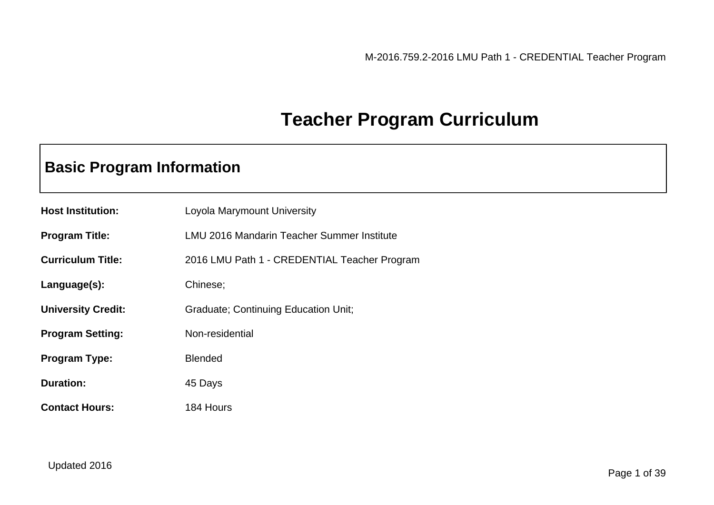# **Teacher Program Curriculum**

# **Basic Program Information**

| <b>Host Institution:</b>  | Loyola Marymount University                  |
|---------------------------|----------------------------------------------|
| <b>Program Title:</b>     | LMU 2016 Mandarin Teacher Summer Institute   |
| <b>Curriculum Title:</b>  | 2016 LMU Path 1 - CREDENTIAL Teacher Program |
| Language(s):              | Chinese;                                     |
| <b>University Credit:</b> | <b>Graduate; Continuing Education Unit;</b>  |
| <b>Program Setting:</b>   | Non-residential                              |
| <b>Program Type:</b>      | <b>Blended</b>                               |
| <b>Duration:</b>          | 45 Days                                      |
| <b>Contact Hours:</b>     | 184 Hours                                    |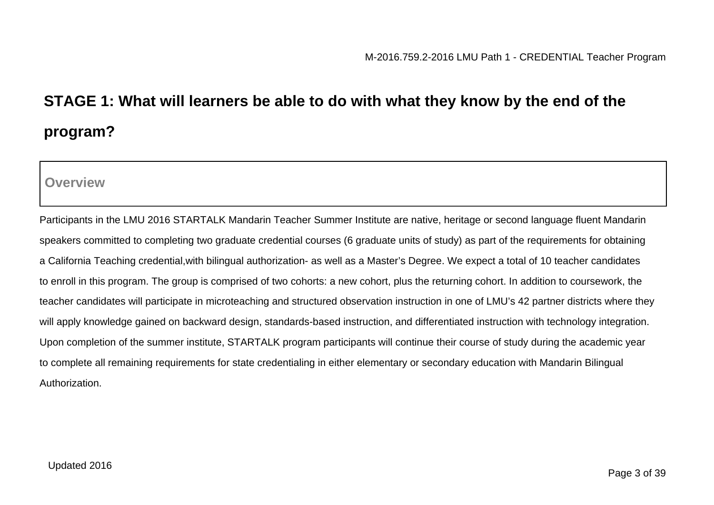# **STAGE 1: What will learners be able to do with what they know by the end of the program?**

**Overview**

Participants in the LMU 2016 STARTALK Mandarin Teacher Summer Institute are native, heritage or second language fluent Mandarin speakers committed to completing two graduate credential courses (6 graduate units of study) as part of the requirements for obtaining a California Teaching credential,with bilingual authorization- as well as a Master's Degree. We expect a total of 10 teacher candidates to enroll in this program. The group is comprised of two cohorts: a new cohort, plus the returning cohort. In addition to coursework, the teacher candidates will participate in microteaching and structured observation instruction in one of LMU's 42 partner districts where they will apply knowledge gained on backward design, standards-based instruction, and differentiated instruction with technology integration. Upon completion of the summer institute, STARTALK program participants will continue their course of study during the academic year to complete all remaining requirements for state credentialing in either elementary or secondary education with Mandarin Bilingual Authorization.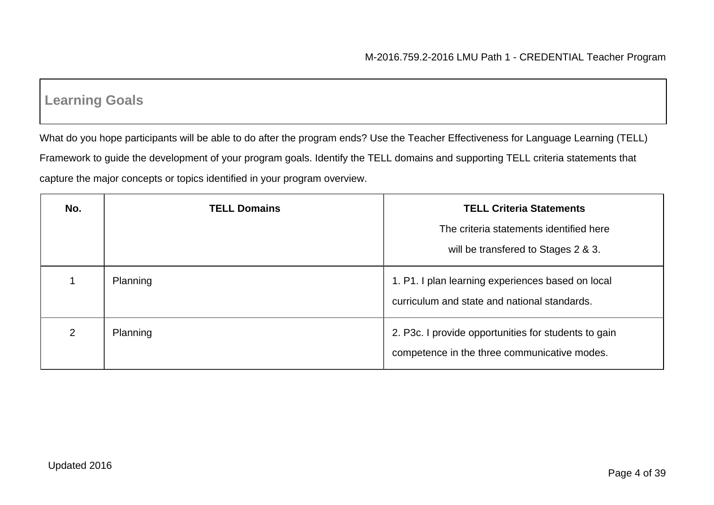# **Learning Goals**

What do you hope participants will be able to do after the program ends? Use the Teacher Effectiveness for Language Learning (TELL) Framework to guide the development of your program goals. Identify the TELL domains and supporting TELL criteria statements that capture the major concepts or topics identified in your program overview.

| No. | <b>TELL Domains</b> | <b>TELL Criteria Statements</b>                                                                      |  |
|-----|---------------------|------------------------------------------------------------------------------------------------------|--|
|     |                     | The criteria statements identified here                                                              |  |
|     |                     | will be transfered to Stages 2 & 3.                                                                  |  |
|     | Planning            | 1. P1. I plan learning experiences based on local<br>curriculum and state and national standards.    |  |
| 2   | Planning            | 2. P3c. I provide opportunities for students to gain<br>competence in the three communicative modes. |  |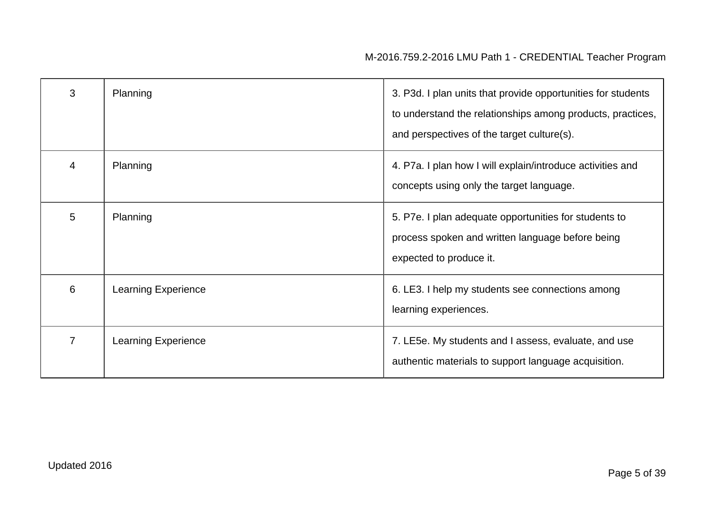| 3              | Planning                   | 3. P3d. I plan units that provide opportunities for students<br>to understand the relationships among products, practices,<br>and perspectives of the target culture(s). |  |
|----------------|----------------------------|--------------------------------------------------------------------------------------------------------------------------------------------------------------------------|--|
| 4              | Planning                   | 4. P7a. I plan how I will explain/introduce activities and<br>concepts using only the target language.                                                                   |  |
| 5              | Planning                   | 5. P7e. I plan adequate opportunities for students to<br>process spoken and written language before being<br>expected to produce it.                                     |  |
| 6              | <b>Learning Experience</b> | 6. LE3. I help my students see connections among<br>learning experiences.                                                                                                |  |
| $\overline{7}$ | <b>Learning Experience</b> | 7. LE5e. My students and I assess, evaluate, and use<br>authentic materials to support language acquisition.                                                             |  |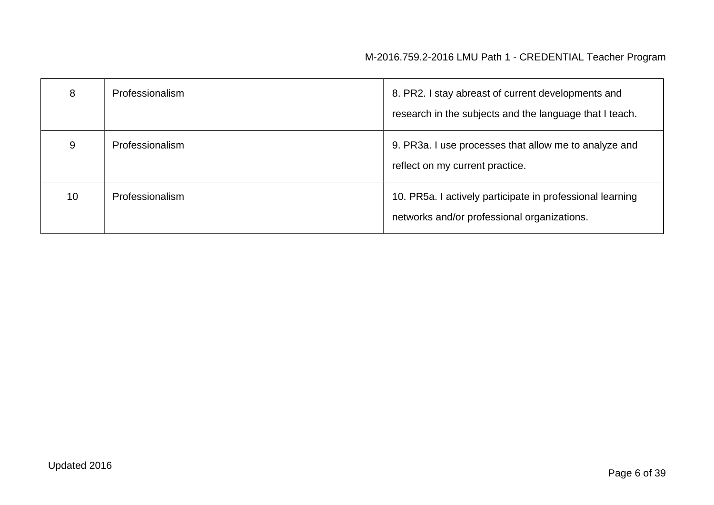| 8  | Professionalism | 8. PR2. I stay abreast of current developments and<br>research in the subjects and the language that I teach. |  |
|----|-----------------|---------------------------------------------------------------------------------------------------------------|--|
| 9  | Professionalism | 9. PR3a. I use processes that allow me to analyze and<br>reflect on my current practice.                      |  |
| 10 | Professionalism | 10. PR5a. I actively participate in professional learning<br>networks and/or professional organizations.      |  |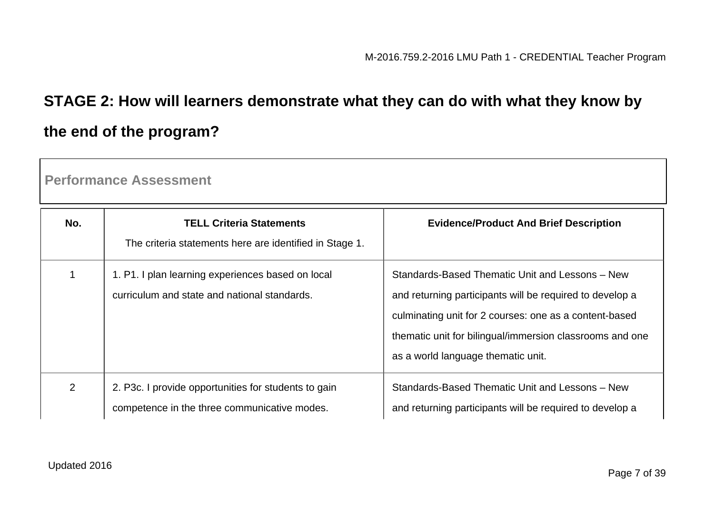# **STAGE 2: How will learners demonstrate what they can do with what they know by the end of the program?**

**Performance Assessment**

| No.            | <b>TELL Criteria Statements</b><br>The criteria statements here are identified in Stage 1.           | <b>Evidence/Product And Brief Description</b>                                                                                                                                                                                                                           |
|----------------|------------------------------------------------------------------------------------------------------|-------------------------------------------------------------------------------------------------------------------------------------------------------------------------------------------------------------------------------------------------------------------------|
|                | 1. P1. I plan learning experiences based on local<br>curriculum and state and national standards.    | Standards-Based Thematic Unit and Lessons - New<br>and returning participants will be required to develop a<br>culminating unit for 2 courses: one as a content-based<br>thematic unit for bilingual/immersion classrooms and one<br>as a world language thematic unit. |
| $\overline{2}$ | 2. P3c. I provide opportunities for students to gain<br>competence in the three communicative modes. | Standards-Based Thematic Unit and Lessons - New<br>and returning participants will be required to develop a                                                                                                                                                             |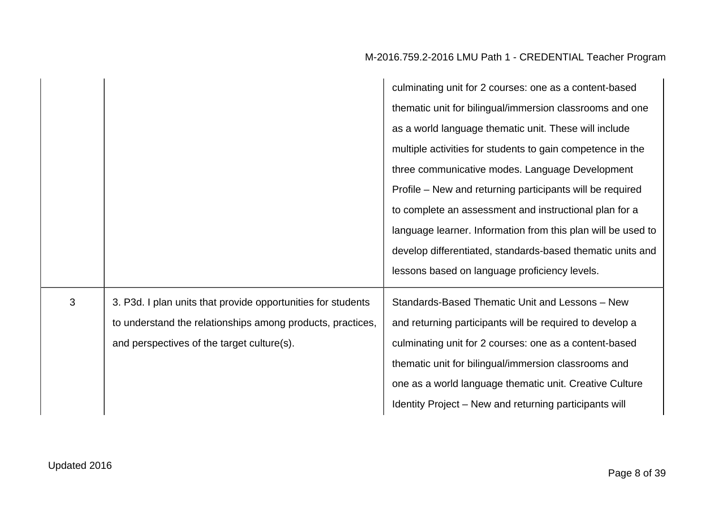|   |                                                                                                                                                                          | culminating unit for 2 courses: one as a content-based<br>thematic unit for bilingual/immersion classrooms and one<br>as a world language thematic unit. These will include<br>multiple activities for students to gain competence in the<br>three communicative modes. Language Development<br>Profile – New and returning participants will be required<br>to complete an assessment and instructional plan for a<br>language learner. Information from this plan will be used to<br>develop differentiated, standards-based thematic units and<br>lessons based on language proficiency levels. |
|---|--------------------------------------------------------------------------------------------------------------------------------------------------------------------------|----------------------------------------------------------------------------------------------------------------------------------------------------------------------------------------------------------------------------------------------------------------------------------------------------------------------------------------------------------------------------------------------------------------------------------------------------------------------------------------------------------------------------------------------------------------------------------------------------|
| 3 | 3. P3d. I plan units that provide opportunities for students<br>to understand the relationships among products, practices,<br>and perspectives of the target culture(s). | Standards-Based Thematic Unit and Lessons - New<br>and returning participants will be required to develop a<br>culminating unit for 2 courses: one as a content-based<br>thematic unit for bilingual/immersion classrooms and<br>one as a world language thematic unit. Creative Culture<br>Identity Project – New and returning participants will                                                                                                                                                                                                                                                 |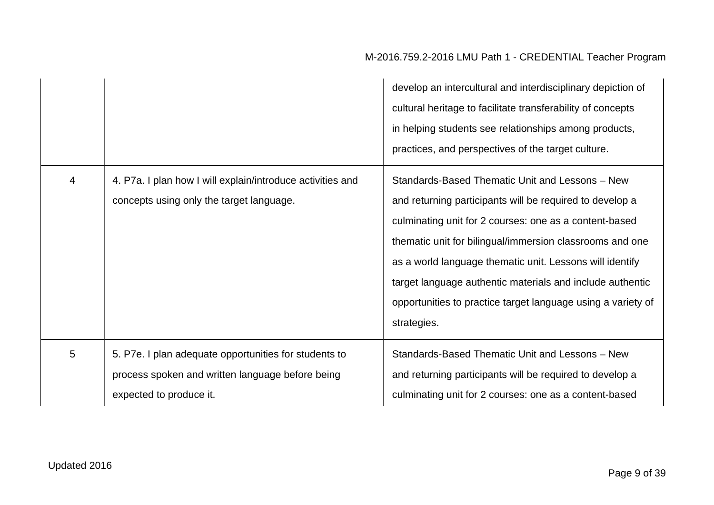|   |                                                                                                                                      | develop an intercultural and interdisciplinary depiction of<br>cultural heritage to facilitate transferability of concepts<br>in helping students see relationships among products,<br>practices, and perspectives of the target culture.                                                                                                                                                                                                 |
|---|--------------------------------------------------------------------------------------------------------------------------------------|-------------------------------------------------------------------------------------------------------------------------------------------------------------------------------------------------------------------------------------------------------------------------------------------------------------------------------------------------------------------------------------------------------------------------------------------|
| 4 | 4. P7a. I plan how I will explain/introduce activities and<br>concepts using only the target language.                               | Standards-Based Thematic Unit and Lessons - New<br>and returning participants will be required to develop a<br>culminating unit for 2 courses: one as a content-based<br>thematic unit for bilingual/immersion classrooms and one<br>as a world language thematic unit. Lessons will identify<br>target language authentic materials and include authentic<br>opportunities to practice target language using a variety of<br>strategies. |
| 5 | 5. P7e. I plan adequate opportunities for students to<br>process spoken and written language before being<br>expected to produce it. | Standards-Based Thematic Unit and Lessons - New<br>and returning participants will be required to develop a<br>culminating unit for 2 courses: one as a content-based                                                                                                                                                                                                                                                                     |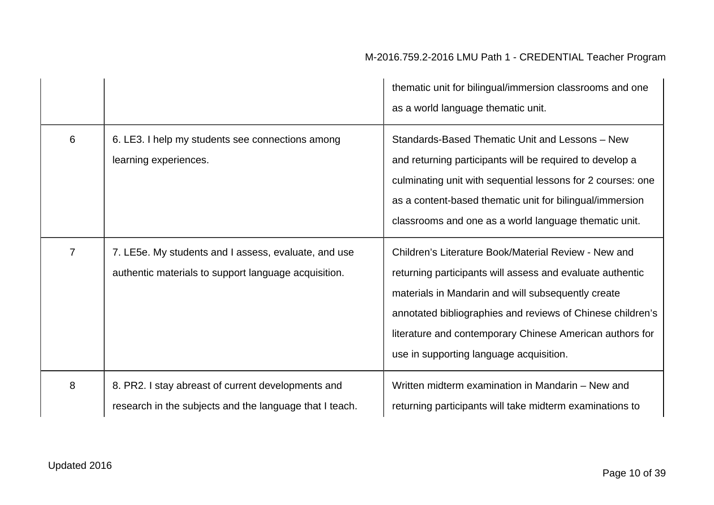|   |                                                                                                               | thematic unit for bilingual/immersion classrooms and one<br>as a world language thematic unit.                                                                                                                                                                                                                                               |  |
|---|---------------------------------------------------------------------------------------------------------------|----------------------------------------------------------------------------------------------------------------------------------------------------------------------------------------------------------------------------------------------------------------------------------------------------------------------------------------------|--|
| 6 | 6. LE3. I help my students see connections among<br>learning experiences.                                     | Standards-Based Thematic Unit and Lessons - New<br>and returning participants will be required to develop a<br>culminating unit with sequential lessons for 2 courses: one<br>as a content-based thematic unit for bilingual/immersion<br>classrooms and one as a world language thematic unit.                                              |  |
| 7 | 7. LE5e. My students and I assess, evaluate, and use<br>authentic materials to support language acquisition.  | Children's Literature Book/Material Review - New and<br>returning participants will assess and evaluate authentic<br>materials in Mandarin and will subsequently create<br>annotated bibliographies and reviews of Chinese children's<br>literature and contemporary Chinese American authors for<br>use in supporting language acquisition. |  |
| 8 | 8. PR2. I stay abreast of current developments and<br>research in the subjects and the language that I teach. | Written midterm examination in Mandarin - New and<br>returning participants will take midterm examinations to                                                                                                                                                                                                                                |  |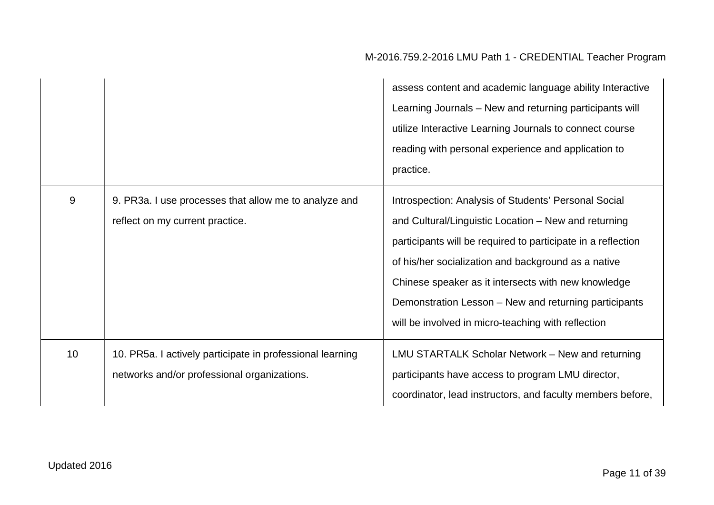|    |                                                                                                          | assess content and academic language ability Interactive<br>Learning Journals - New and returning participants will<br>utilize Interactive Learning Journals to connect course<br>reading with personal experience and application to<br>practice.                                                                                                                                                        |
|----|----------------------------------------------------------------------------------------------------------|-----------------------------------------------------------------------------------------------------------------------------------------------------------------------------------------------------------------------------------------------------------------------------------------------------------------------------------------------------------------------------------------------------------|
| 9  | 9. PR3a. I use processes that allow me to analyze and<br>reflect on my current practice.                 | Introspection: Analysis of Students' Personal Social<br>and Cultural/Linguistic Location - New and returning<br>participants will be required to participate in a reflection<br>of his/her socialization and background as a native<br>Chinese speaker as it intersects with new knowledge<br>Demonstration Lesson – New and returning participants<br>will be involved in micro-teaching with reflection |
| 10 | 10. PR5a. I actively participate in professional learning<br>networks and/or professional organizations. | LMU STARTALK Scholar Network – New and returning<br>participants have access to program LMU director,<br>coordinator, lead instructors, and faculty members before,                                                                                                                                                                                                                                       |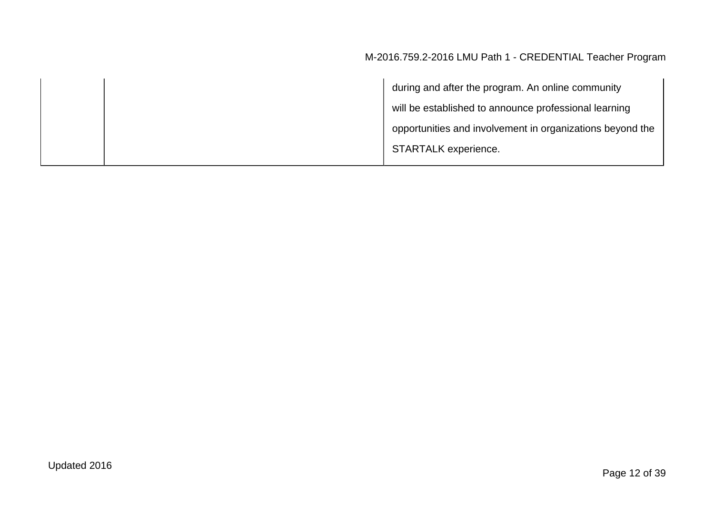|  | during and after the program. An online community         |
|--|-----------------------------------------------------------|
|  | will be established to announce professional learning     |
|  | opportunities and involvement in organizations beyond the |
|  | <b>STARTALK</b> experience.                               |
|  |                                                           |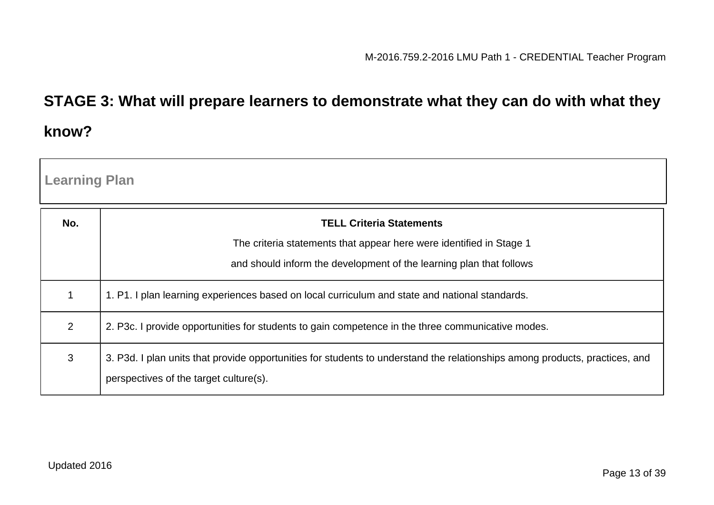# **STAGE 3: What will prepare learners to demonstrate what they can do with what they know?**

| <b>Learning Plan</b> |                                                                                                                                                                       |
|----------------------|-----------------------------------------------------------------------------------------------------------------------------------------------------------------------|
| No.                  | <b>TELL Criteria Statements</b>                                                                                                                                       |
|                      | The criteria statements that appear here were identified in Stage 1                                                                                                   |
|                      | and should inform the development of the learning plan that follows                                                                                                   |
|                      | 1. P1. I plan learning experiences based on local curriculum and state and national standards.                                                                        |
| $\overline{2}$       | 2. P3c. I provide opportunities for students to gain competence in the three communicative modes.                                                                     |
| 3                    | 3. P3d. I plan units that provide opportunities for students to understand the relationships among products, practices, and<br>perspectives of the target culture(s). |

- Г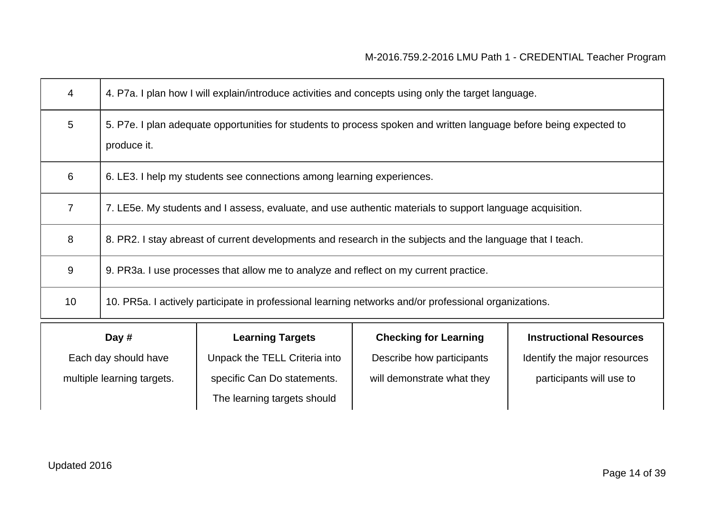| 4              | 4. P7a. I plan how I will explain/introduce activities and concepts using only the target language.                               |  |  |
|----------------|-----------------------------------------------------------------------------------------------------------------------------------|--|--|
| 5              | 5. P7e. I plan adequate opportunities for students to process spoken and written language before being expected to<br>produce it. |  |  |
| 6              | 6. LE3. I help my students see connections among learning experiences.                                                            |  |  |
| $\overline{7}$ | 7. LE5e. My students and I assess, evaluate, and use authentic materials to support language acquisition.                         |  |  |
| 8              | 8. PR2. I stay abreast of current developments and research in the subjects and the language that I teach.                        |  |  |
| 9              | 9. PR3a. I use processes that allow me to analyze and reflect on my current practice.                                             |  |  |
| 10             | 10. PR5a. I actively participate in professional learning networks and/or professional organizations.                             |  |  |
|                | <b>Checking for Learning</b><br><b>Instructional Resources</b><br>Day #<br><b>Learning Targets</b>                                |  |  |

Each day should have multiple learning targets. Unpack the TELL Criteria into specific Can Do statements. The learning targets should

Describe how participants will demonstrate what they

Identify the major resources

participants will use to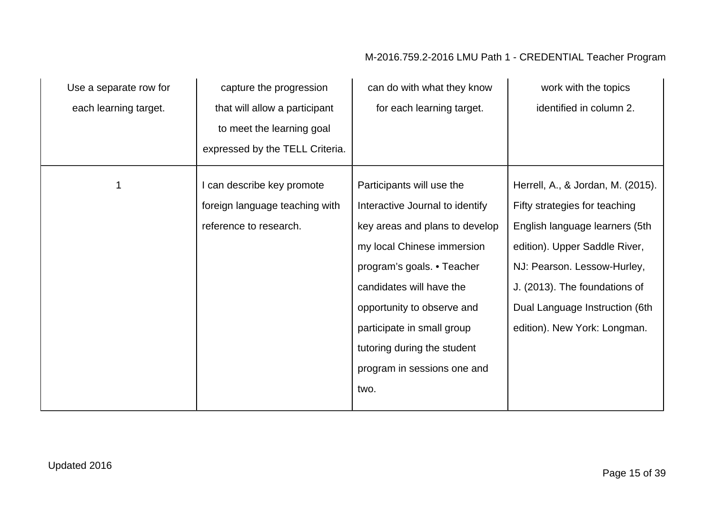| Use a separate row for | capture the progression         | can do with what they know      | work with the topics              |
|------------------------|---------------------------------|---------------------------------|-----------------------------------|
| each learning target.  | that will allow a participant   | for each learning target.       | identified in column 2.           |
|                        | to meet the learning goal       |                                 |                                   |
|                        | expressed by the TELL Criteria. |                                 |                                   |
| 1                      | I can describe key promote      | Participants will use the       | Herrell, A., & Jordan, M. (2015). |
|                        | foreign language teaching with  | Interactive Journal to identify | Fifty strategies for teaching     |
|                        | reference to research.          | key areas and plans to develop  | English language learners (5th    |
|                        |                                 | my local Chinese immersion      | edition). Upper Saddle River,     |
|                        |                                 | program's goals. • Teacher      | NJ: Pearson. Lessow-Hurley,       |
|                        |                                 | candidates will have the        | J. (2013). The foundations of     |
|                        |                                 | opportunity to observe and      | Dual Language Instruction (6th    |
|                        |                                 | participate in small group      | edition). New York: Longman.      |
|                        |                                 | tutoring during the student     |                                   |
|                        |                                 | program in sessions one and     |                                   |
|                        |                                 | two.                            |                                   |
|                        |                                 |                                 |                                   |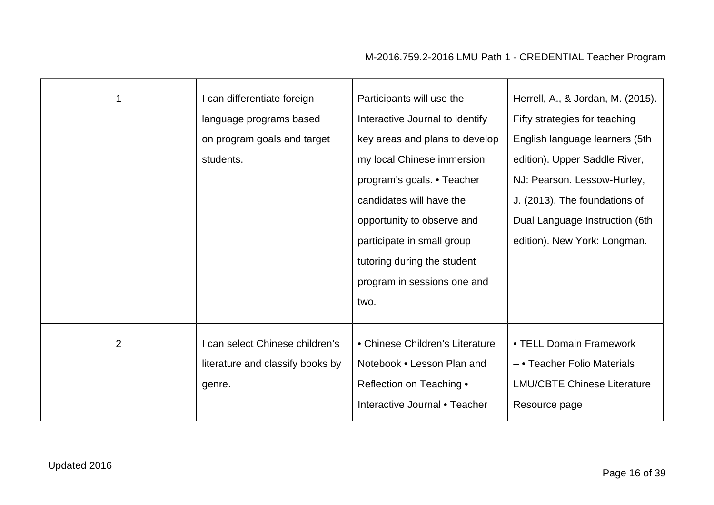| 1 | I can differentiate foreign<br>language programs based<br>on program goals and target<br>students. | Participants will use the<br>Interactive Journal to identify<br>key areas and plans to develop<br>my local Chinese immersion<br>program's goals. • Teacher<br>candidates will have the<br>opportunity to observe and<br>participate in small group<br>tutoring during the student | Herrell, A., & Jordan, M. (2015).<br>Fifty strategies for teaching<br>English language learners (5th<br>edition). Upper Saddle River,<br>NJ: Pearson. Lessow-Hurley,<br>J. (2013). The foundations of<br>Dual Language Instruction (6th<br>edition). New York: Longman. |
|---|----------------------------------------------------------------------------------------------------|-----------------------------------------------------------------------------------------------------------------------------------------------------------------------------------------------------------------------------------------------------------------------------------|-------------------------------------------------------------------------------------------------------------------------------------------------------------------------------------------------------------------------------------------------------------------------|
|   |                                                                                                    | program in sessions one and<br>two.                                                                                                                                                                                                                                               |                                                                                                                                                                                                                                                                         |
| 2 | can select Chinese children's<br>literature and classify books by<br>genre.                        | • Chinese Children's Literature<br>Notebook . Lesson Plan and<br>Reflection on Teaching •<br>Interactive Journal • Teacher                                                                                                                                                        | • TELL Domain Framework<br>- • Teacher Folio Materials<br><b>LMU/CBTE Chinese Literature</b><br>Resource page                                                                                                                                                           |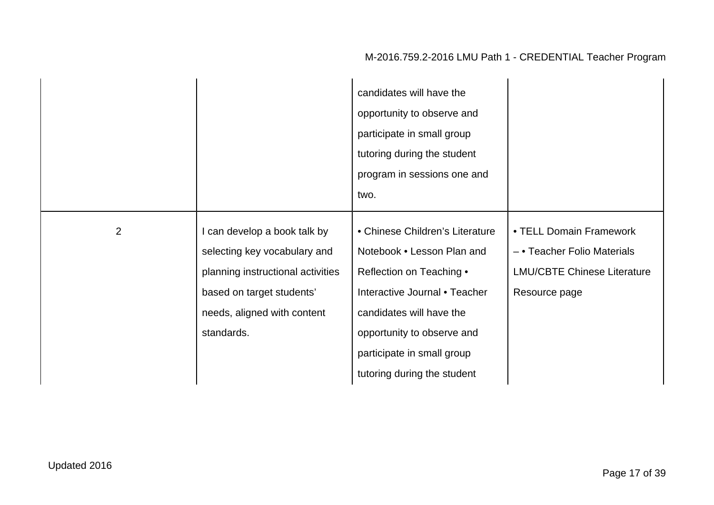|                |                                                                                                                                                                             | candidates will have the<br>opportunity to observe and<br>participate in small group<br>tutoring during the student<br>program in sessions one and<br>two.                                                                                        |                                                                                                               |
|----------------|-----------------------------------------------------------------------------------------------------------------------------------------------------------------------------|---------------------------------------------------------------------------------------------------------------------------------------------------------------------------------------------------------------------------------------------------|---------------------------------------------------------------------------------------------------------------|
| $\overline{2}$ | I can develop a book talk by<br>selecting key vocabulary and<br>planning instructional activities<br>based on target students'<br>needs, aligned with content<br>standards. | • Chinese Children's Literature<br>Notebook • Lesson Plan and<br>Reflection on Teaching •<br>Interactive Journal • Teacher<br>candidates will have the<br>opportunity to observe and<br>participate in small group<br>tutoring during the student | • TELL Domain Framework<br>- • Teacher Folio Materials<br><b>LMU/CBTE Chinese Literature</b><br>Resource page |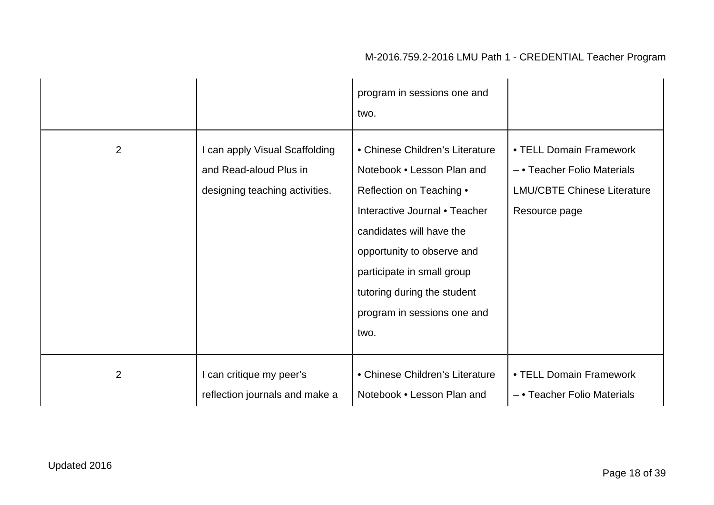|                |                                                                                            | program in sessions one and<br>two.                                                                                                                                                                                                                                                      |                                                                                                               |
|----------------|--------------------------------------------------------------------------------------------|------------------------------------------------------------------------------------------------------------------------------------------------------------------------------------------------------------------------------------------------------------------------------------------|---------------------------------------------------------------------------------------------------------------|
| $\overline{2}$ | I can apply Visual Scaffolding<br>and Read-aloud Plus in<br>designing teaching activities. | • Chinese Children's Literature<br>Notebook • Lesson Plan and<br>Reflection on Teaching •<br>Interactive Journal • Teacher<br>candidates will have the<br>opportunity to observe and<br>participate in small group<br>tutoring during the student<br>program in sessions one and<br>two. | • TELL Domain Framework<br>- • Teacher Folio Materials<br><b>LMU/CBTE Chinese Literature</b><br>Resource page |
| $\overline{2}$ | I can critique my peer's<br>reflection journals and make a                                 | • Chinese Children's Literature<br>Notebook . Lesson Plan and                                                                                                                                                                                                                            | • TELL Domain Framework<br>- • Teacher Folio Materials                                                        |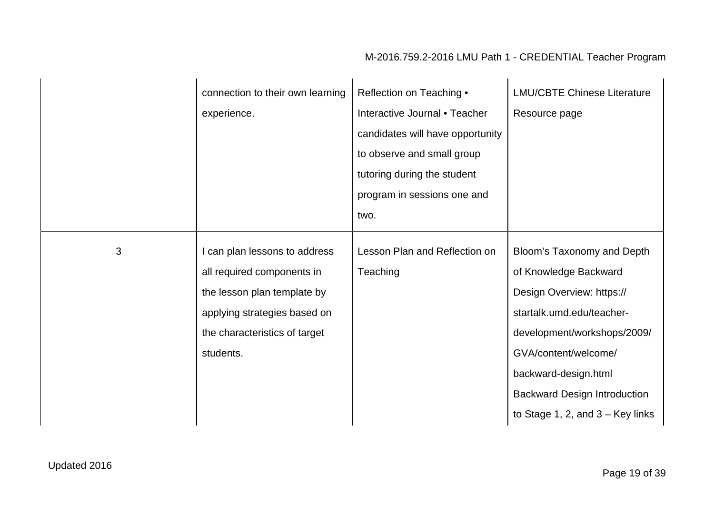|   | connection to their own learning<br>experience.                                                                                                                          | Reflection on Teaching •<br>Interactive Journal • Teacher<br>candidates will have opportunity<br>to observe and small group<br>tutoring during the student<br>program in sessions one and<br>two. | <b>LMU/CBTE Chinese Literature</b><br>Resource page                                                                                                                                                                                                                       |
|---|--------------------------------------------------------------------------------------------------------------------------------------------------------------------------|---------------------------------------------------------------------------------------------------------------------------------------------------------------------------------------------------|---------------------------------------------------------------------------------------------------------------------------------------------------------------------------------------------------------------------------------------------------------------------------|
| 3 | I can plan lessons to address<br>all required components in<br>the lesson plan template by<br>applying strategies based on<br>the characteristics of target<br>students. | Lesson Plan and Reflection on<br>Teaching                                                                                                                                                         | Bloom's Taxonomy and Depth<br>of Knowledge Backward<br>Design Overview: https://<br>startalk.umd.edu/teacher-<br>development/workshops/2009/<br>GVA/content/welcome/<br>backward-design.html<br><b>Backward Design Introduction</b><br>to Stage 1, 2, and $3 -$ Key links |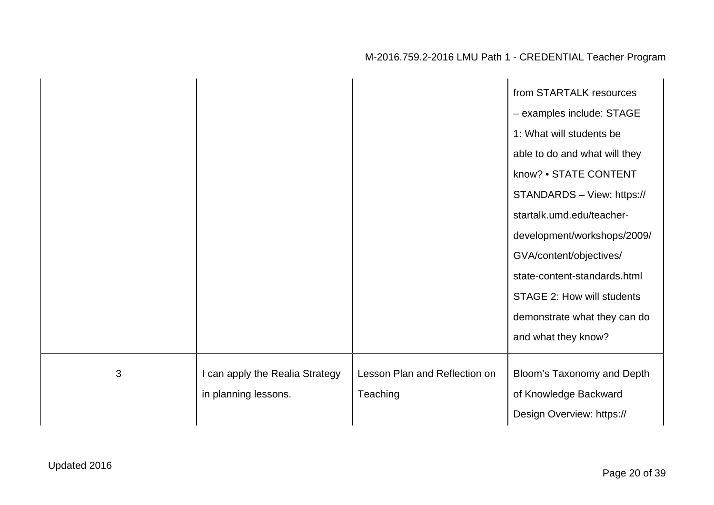|   |                                                         |                                           | from STARTALK resources<br>- examples include: STAGE                                   |
|---|---------------------------------------------------------|-------------------------------------------|----------------------------------------------------------------------------------------|
|   |                                                         |                                           | 1: What will students be<br>able to do and what will they<br>know? • STATE CONTENT     |
|   |                                                         |                                           | STANDARDS - View: https://<br>startalk.umd.edu/teacher-                                |
|   |                                                         |                                           | development/workshops/2009/<br>GVA/content/objectives/<br>state-content-standards.html |
|   |                                                         |                                           | STAGE 2: How will students<br>demonstrate what they can do<br>and what they know?      |
| 3 | I can apply the Realia Strategy<br>in planning lessons. | Lesson Plan and Reflection on<br>Teaching | Bloom's Taxonomy and Depth<br>of Knowledge Backward<br>Design Overview: https://       |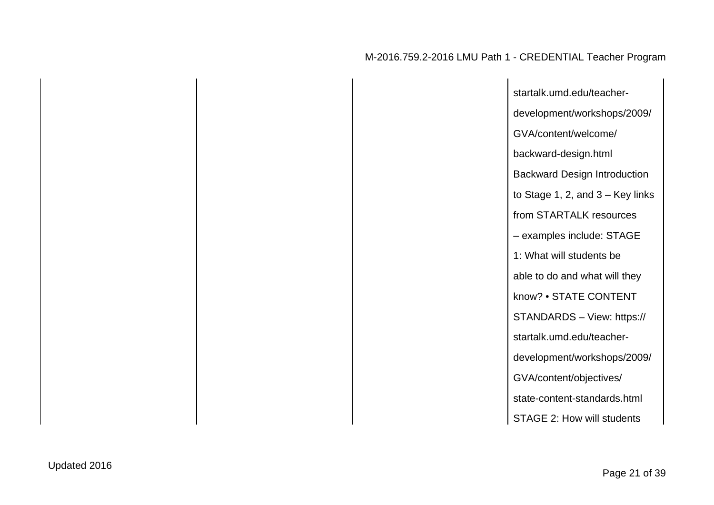| startalk.umd.edu/teacher-           |
|-------------------------------------|
| development/workshops/2009/         |
| GVA/content/welcome/                |
| backward-design.html                |
| <b>Backward Design Introduction</b> |
| to Stage 1, 2, and $3 -$ Key links  |
| from STARTALK resources             |
| - examples include: STAGE           |
| 1: What will students be            |
| able to do and what will they       |
| know? • STATE CONTENT               |
| STANDARDS - View: https://          |
| startalk.umd.edu/teacher-           |
| development/workshops/2009/         |
| GVA/content/objectives/             |
| state-content-standards.html        |
| STAGE 2: How will students          |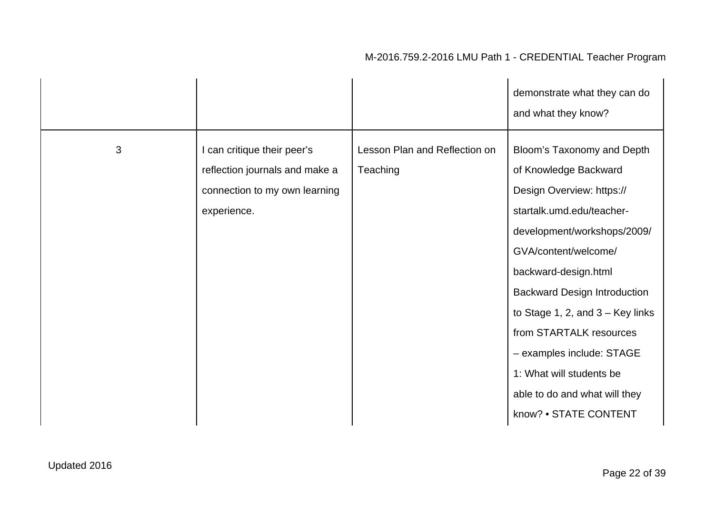|   |                                                                                                               |                                           | demonstrate what they can do<br>and what they know?                                                                                                                                                                                                                                                                                                                                                                     |
|---|---------------------------------------------------------------------------------------------------------------|-------------------------------------------|-------------------------------------------------------------------------------------------------------------------------------------------------------------------------------------------------------------------------------------------------------------------------------------------------------------------------------------------------------------------------------------------------------------------------|
| 3 | I can critique their peer's<br>reflection journals and make a<br>connection to my own learning<br>experience. | Lesson Plan and Reflection on<br>Teaching | Bloom's Taxonomy and Depth<br>of Knowledge Backward<br>Design Overview: https://<br>startalk.umd.edu/teacher-<br>development/workshops/2009/<br>GVA/content/welcome/<br>backward-design.html<br><b>Backward Design Introduction</b><br>to Stage 1, 2, and $3 -$ Key links<br>from STARTALK resources<br>- examples include: STAGE<br>1: What will students be<br>able to do and what will they<br>know? • STATE CONTENT |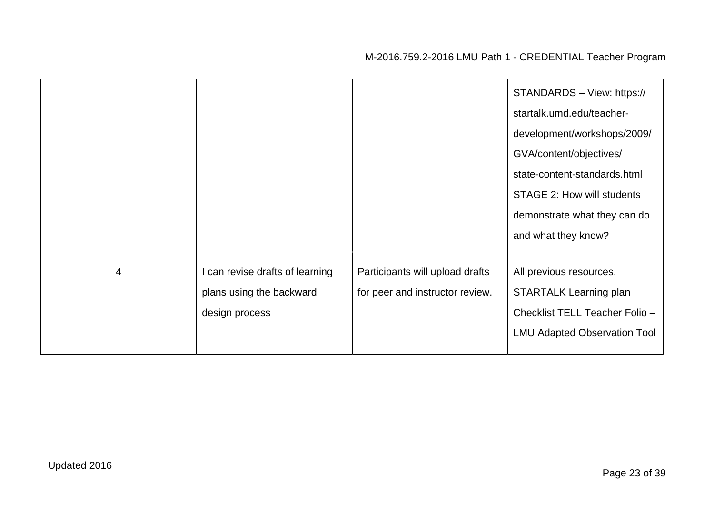|   |                                                                               |                                                                    | STANDARDS - View: https://<br>startalk.umd.edu/teacher-<br>development/workshops/2009/<br>GVA/content/objectives/<br>state-content-standards.html<br>STAGE 2: How will students<br>demonstrate what they can do<br>and what they know? |
|---|-------------------------------------------------------------------------------|--------------------------------------------------------------------|----------------------------------------------------------------------------------------------------------------------------------------------------------------------------------------------------------------------------------------|
| 4 | I can revise drafts of learning<br>plans using the backward<br>design process | Participants will upload drafts<br>for peer and instructor review. | All previous resources.<br><b>STARTALK Learning plan</b><br>Checklist TELL Teacher Folio -<br><b>LMU Adapted Observation Tool</b>                                                                                                      |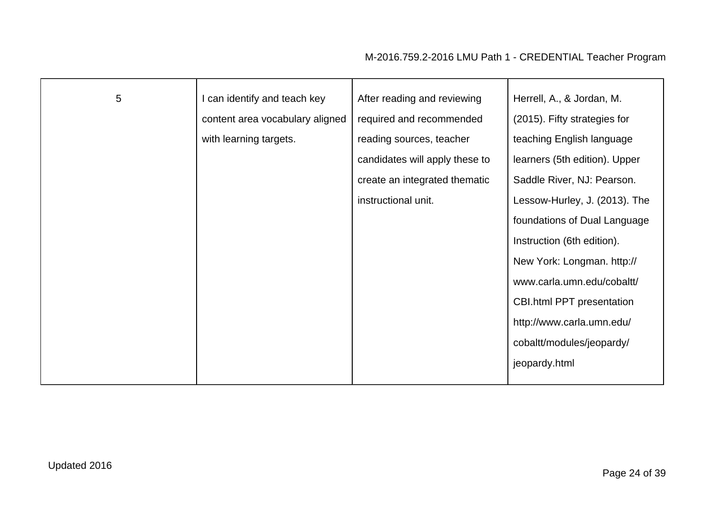| $5\phantom{.0}$ | I can identify and teach key    | After reading and reviewing    | Herrell, A., & Jordan, M.        |
|-----------------|---------------------------------|--------------------------------|----------------------------------|
|                 |                                 |                                |                                  |
|                 | content area vocabulary aligned | required and recommended       | (2015). Fifty strategies for     |
|                 | with learning targets.          | reading sources, teacher       | teaching English language        |
|                 |                                 | candidates will apply these to | learners (5th edition). Upper    |
|                 |                                 | create an integrated thematic  | Saddle River, NJ: Pearson.       |
|                 |                                 | instructional unit.            | Lessow-Hurley, J. (2013). The    |
|                 |                                 |                                | foundations of Dual Language     |
|                 |                                 |                                | Instruction (6th edition).       |
|                 |                                 |                                | New York: Longman. http://       |
|                 |                                 |                                | www.carla.umn.edu/cobaltt/       |
|                 |                                 |                                | <b>CBI.html PPT presentation</b> |
|                 |                                 |                                | http://www.carla.umn.edu/        |
|                 |                                 |                                | cobaltt/modules/jeopardy/        |
|                 |                                 |                                | jeopardy.html                    |
|                 |                                 |                                |                                  |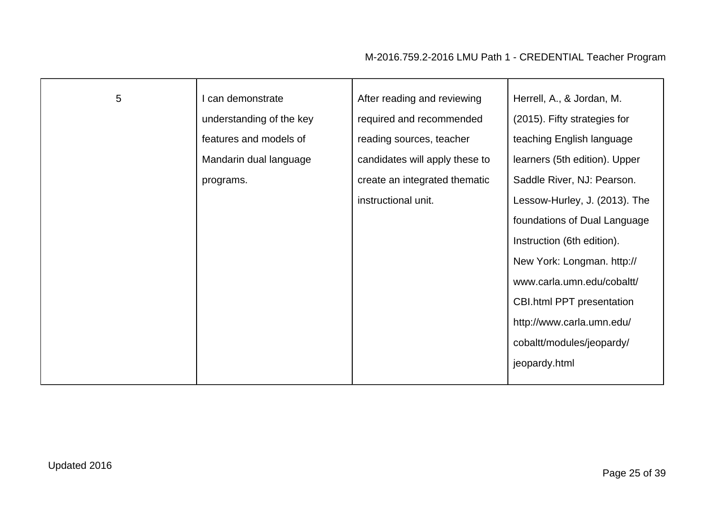| 5 | I can demonstrate        | After reading and reviewing    | Herrell, A., & Jordan, M.        |
|---|--------------------------|--------------------------------|----------------------------------|
|   | understanding of the key | required and recommended       | (2015). Fifty strategies for     |
|   | features and models of   | reading sources, teacher       | teaching English language        |
|   | Mandarin dual language   | candidates will apply these to | learners (5th edition). Upper    |
|   | programs.                | create an integrated thematic  | Saddle River, NJ: Pearson.       |
|   |                          | instructional unit.            | Lessow-Hurley, J. (2013). The    |
|   |                          |                                | foundations of Dual Language     |
|   |                          |                                | Instruction (6th edition).       |
|   |                          |                                | New York: Longman. http://       |
|   |                          |                                | www.carla.umn.edu/cobaltt/       |
|   |                          |                                | <b>CBI.html PPT presentation</b> |
|   |                          |                                | http://www.carla.umn.edu/        |
|   |                          |                                | cobaltt/modules/jeopardy/        |
|   |                          |                                | jeopardy.html                    |
|   |                          |                                |                                  |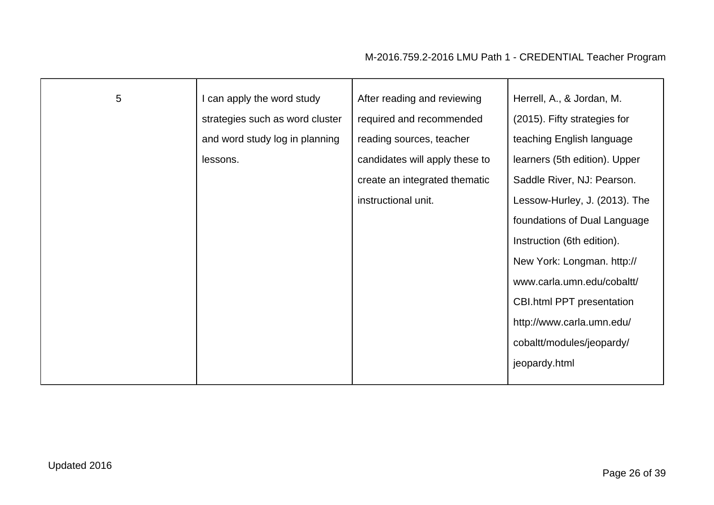| $\overline{5}$ | I can apply the word study      | After reading and reviewing    | Herrell, A., & Jordan, M.        |
|----------------|---------------------------------|--------------------------------|----------------------------------|
|                | strategies such as word cluster | required and recommended       | (2015). Fifty strategies for     |
|                | and word study log in planning  | reading sources, teacher       | teaching English language        |
|                | lessons.                        | candidates will apply these to | learners (5th edition). Upper    |
|                |                                 | create an integrated thematic  | Saddle River, NJ: Pearson.       |
|                |                                 | instructional unit.            | Lessow-Hurley, J. (2013). The    |
|                |                                 |                                | foundations of Dual Language     |
|                |                                 |                                | Instruction (6th edition).       |
|                |                                 |                                | New York: Longman. http://       |
|                |                                 |                                | www.carla.umn.edu/cobaltt/       |
|                |                                 |                                | <b>CBI.html PPT presentation</b> |
|                |                                 |                                | http://www.carla.umn.edu/        |
|                |                                 |                                | cobaltt/modules/jeopardy/        |
|                |                                 |                                | jeopardy.html                    |
|                |                                 |                                |                                  |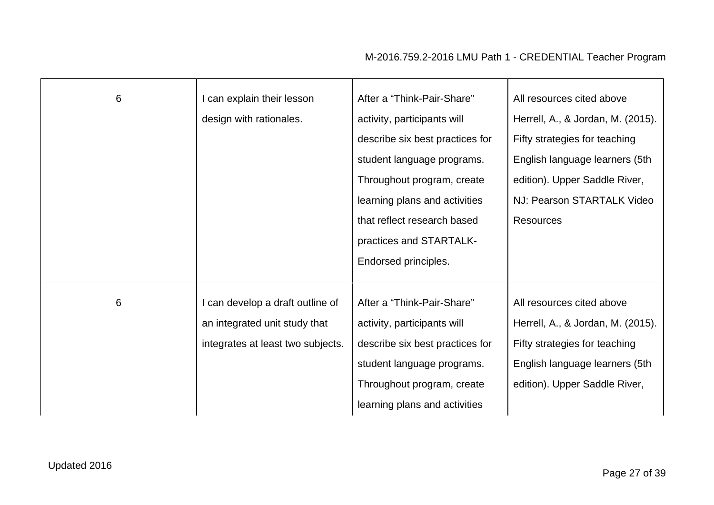| 6 | I can explain their lesson<br>design with rationales.                                                  | After a "Think-Pair-Share"<br>activity, participants will<br>describe six best practices for<br>student language programs.<br>Throughout program, create<br>learning plans and activities<br>that reflect research based<br>practices and STARTALK- | All resources cited above<br>Herrell, A., & Jordan, M. (2015).<br>Fifty strategies for teaching<br>English language learners (5th<br>edition). Upper Saddle River,<br>NJ: Pearson STARTALK Video<br><b>Resources</b> |
|---|--------------------------------------------------------------------------------------------------------|-----------------------------------------------------------------------------------------------------------------------------------------------------------------------------------------------------------------------------------------------------|----------------------------------------------------------------------------------------------------------------------------------------------------------------------------------------------------------------------|
|   |                                                                                                        | Endorsed principles.                                                                                                                                                                                                                                |                                                                                                                                                                                                                      |
| 6 | I can develop a draft outline of<br>an integrated unit study that<br>integrates at least two subjects. | After a "Think-Pair-Share"<br>activity, participants will<br>describe six best practices for<br>student language programs.<br>Throughout program, create<br>learning plans and activities                                                           | All resources cited above<br>Herrell, A., & Jordan, M. (2015).<br>Fifty strategies for teaching<br>English language learners (5th<br>edition). Upper Saddle River,                                                   |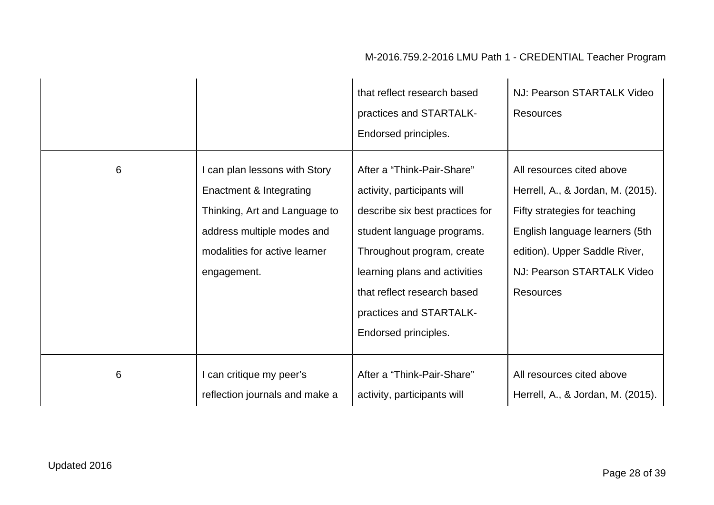|   |                                                                                                                                                                         | that reflect research based<br>practices and STARTALK-<br>Endorsed principles.                                                                                                                                                                                              | NJ: Pearson STARTALK Video<br><b>Resources</b>                                                                                                                                                                       |
|---|-------------------------------------------------------------------------------------------------------------------------------------------------------------------------|-----------------------------------------------------------------------------------------------------------------------------------------------------------------------------------------------------------------------------------------------------------------------------|----------------------------------------------------------------------------------------------------------------------------------------------------------------------------------------------------------------------|
| 6 | I can plan lessons with Story<br>Enactment & Integrating<br>Thinking, Art and Language to<br>address multiple modes and<br>modalities for active learner<br>engagement. | After a "Think-Pair-Share"<br>activity, participants will<br>describe six best practices for<br>student language programs.<br>Throughout program, create<br>learning plans and activities<br>that reflect research based<br>practices and STARTALK-<br>Endorsed principles. | All resources cited above<br>Herrell, A., & Jordan, M. (2015).<br>Fifty strategies for teaching<br>English language learners (5th<br>edition). Upper Saddle River,<br>NJ: Pearson STARTALK Video<br><b>Resources</b> |
| 6 | I can critique my peer's<br>reflection journals and make a                                                                                                              | After a "Think-Pair-Share"<br>activity, participants will                                                                                                                                                                                                                   | All resources cited above<br>Herrell, A., & Jordan, M. (2015).                                                                                                                                                       |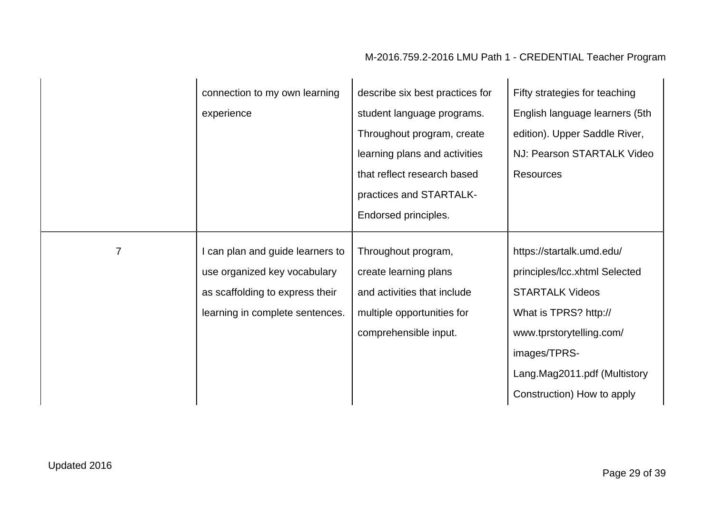|   | connection to my own learning    | describe six best practices for | Fifty strategies for teaching  |
|---|----------------------------------|---------------------------------|--------------------------------|
|   | experience                       | student language programs.      | English language learners (5th |
|   |                                  | Throughout program, create      | edition). Upper Saddle River,  |
|   |                                  | learning plans and activities   | NJ: Pearson STARTALK Video     |
|   |                                  | that reflect research based     | <b>Resources</b>               |
|   |                                  | practices and STARTALK-         |                                |
|   |                                  | Endorsed principles.            |                                |
|   |                                  |                                 |                                |
| 7 | I can plan and guide learners to | Throughout program,             | https://startalk.umd.edu/      |
|   | use organized key vocabulary     | create learning plans           | principles/Icc.xhtml Selected  |
|   | as scaffolding to express their  | and activities that include     | <b>STARTALK Videos</b>         |
|   | learning in complete sentences.  | multiple opportunities for      | What is TPRS? http://          |
|   |                                  | comprehensible input.           | www.tprstorytelling.com/       |
|   |                                  |                                 | images/TPRS-                   |
|   |                                  |                                 | Lang.Mag2011.pdf (Multistory   |
|   |                                  |                                 | Construction) How to apply     |
|   |                                  |                                 |                                |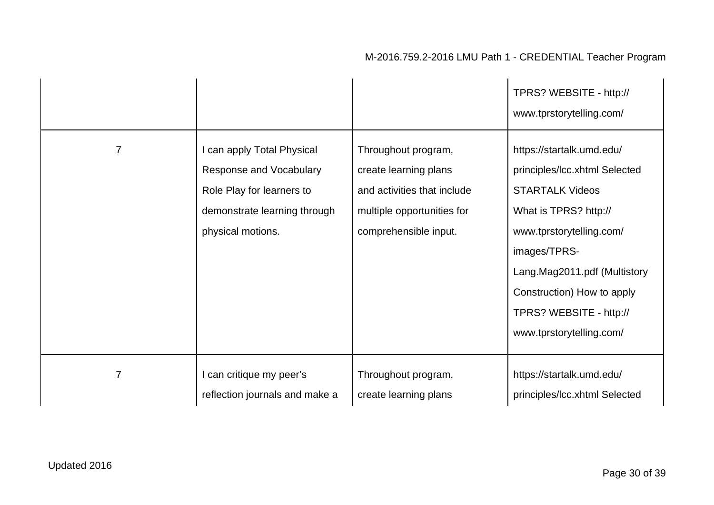|                |                                                                                                                                         |                                                                                                                                    | TPRS? WEBSITE - http://<br>www.tprstorytelling.com/                                                                                                                                                                                                                            |
|----------------|-----------------------------------------------------------------------------------------------------------------------------------------|------------------------------------------------------------------------------------------------------------------------------------|--------------------------------------------------------------------------------------------------------------------------------------------------------------------------------------------------------------------------------------------------------------------------------|
| $\overline{7}$ | I can apply Total Physical<br>Response and Vocabulary<br>Role Play for learners to<br>demonstrate learning through<br>physical motions. | Throughout program,<br>create learning plans<br>and activities that include<br>multiple opportunities for<br>comprehensible input. | https://startalk.umd.edu/<br>principles/Icc.xhtml Selected<br><b>STARTALK Videos</b><br>What is TPRS? http://<br>www.tprstorytelling.com/<br>images/TPRS-<br>Lang.Mag2011.pdf (Multistory<br>Construction) How to apply<br>TPRS? WEBSITE - http://<br>www.tprstorytelling.com/ |
| $\overline{7}$ | I can critique my peer's<br>reflection journals and make a                                                                              | Throughout program,<br>create learning plans                                                                                       | https://startalk.umd.edu/<br>principles/Icc.xhtml Selected                                                                                                                                                                                                                     |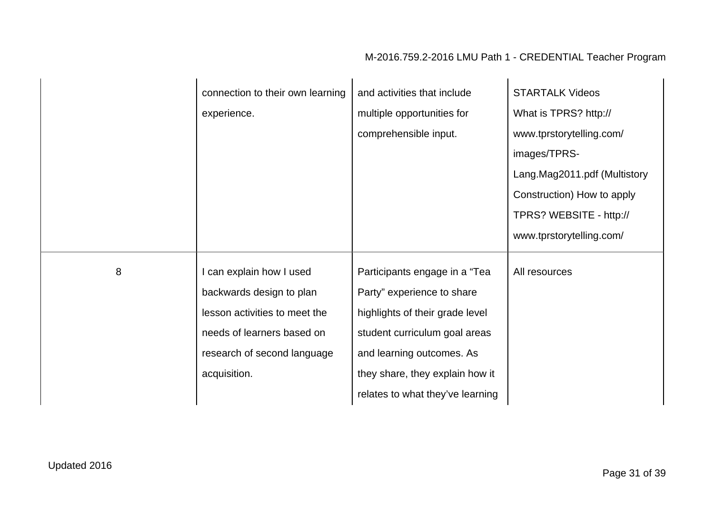|   | connection to their own learning | and activities that include      | <b>STARTALK Videos</b>       |
|---|----------------------------------|----------------------------------|------------------------------|
|   | experience.                      | multiple opportunities for       | What is TPRS? http://        |
|   |                                  | comprehensible input.            | www.tprstorytelling.com/     |
|   |                                  |                                  | images/TPRS-                 |
|   |                                  |                                  | Lang.Mag2011.pdf (Multistory |
|   |                                  |                                  | Construction) How to apply   |
|   |                                  |                                  | TPRS? WEBSITE - http://      |
|   |                                  |                                  | www.tprstorytelling.com/     |
|   |                                  |                                  |                              |
| 8 | I can explain how I used         | Participants engage in a "Tea    | All resources                |
|   | backwards design to plan         | Party" experience to share       |                              |
|   | lesson activities to meet the    | highlights of their grade level  |                              |
|   | needs of learners based on       | student curriculum goal areas    |                              |
|   | research of second language      | and learning outcomes. As        |                              |
|   | acquisition.                     | they share, they explain how it  |                              |
|   |                                  | relates to what they've learning |                              |
|   |                                  |                                  |                              |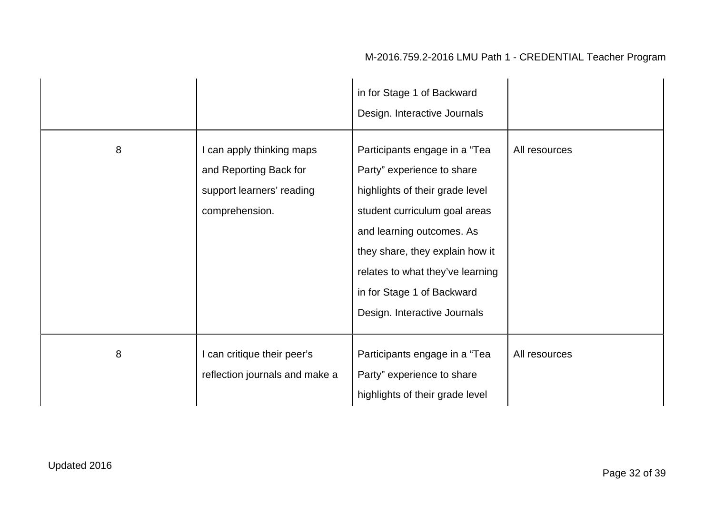|   |                                                                                                    | in for Stage 1 of Backward<br>Design. Interactive Journals                                                                                                                                                                                                                                        |               |
|---|----------------------------------------------------------------------------------------------------|---------------------------------------------------------------------------------------------------------------------------------------------------------------------------------------------------------------------------------------------------------------------------------------------------|---------------|
| 8 | I can apply thinking maps<br>and Reporting Back for<br>support learners' reading<br>comprehension. | Participants engage in a "Tea<br>Party" experience to share<br>highlights of their grade level<br>student curriculum goal areas<br>and learning outcomes. As<br>they share, they explain how it<br>relates to what they've learning<br>in for Stage 1 of Backward<br>Design. Interactive Journals | All resources |
| 8 | I can critique their peer's<br>reflection journals and make a                                      | Participants engage in a "Tea<br>Party" experience to share<br>highlights of their grade level                                                                                                                                                                                                    | All resources |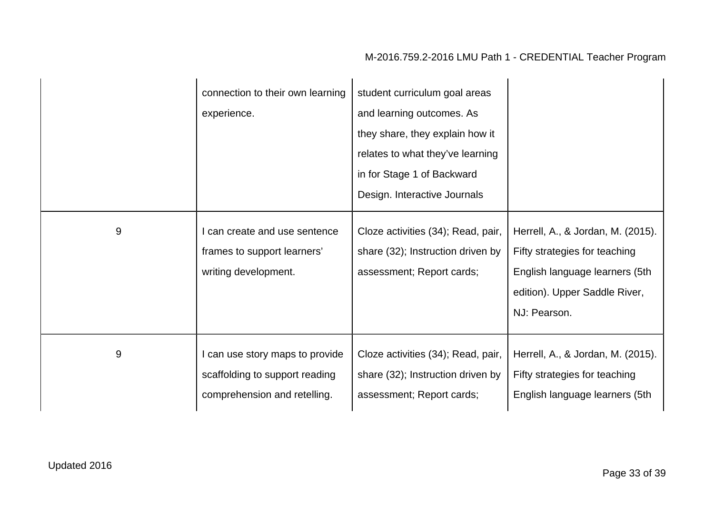|   | connection to their own learning<br>experience.                                                   | student curriculum goal areas<br>and learning outcomes. As<br>they share, they explain how it<br>relates to what they've learning<br>in for Stage 1 of Backward<br>Design. Interactive Journals |                                                                                                                                                       |
|---|---------------------------------------------------------------------------------------------------|-------------------------------------------------------------------------------------------------------------------------------------------------------------------------------------------------|-------------------------------------------------------------------------------------------------------------------------------------------------------|
| 9 | can create and use sentence<br>frames to support learners'<br>writing development.                | Cloze activities (34); Read, pair,<br>share (32); Instruction driven by<br>assessment; Report cards;                                                                                            | Herrell, A., & Jordan, M. (2015).<br>Fifty strategies for teaching<br>English language learners (5th<br>edition). Upper Saddle River,<br>NJ: Pearson. |
| 9 | I can use story maps to provide<br>scaffolding to support reading<br>comprehension and retelling. | Cloze activities (34); Read, pair,<br>share (32); Instruction driven by<br>assessment; Report cards;                                                                                            | Herrell, A., & Jordan, M. (2015).<br>Fifty strategies for teaching<br>English language learners (5th                                                  |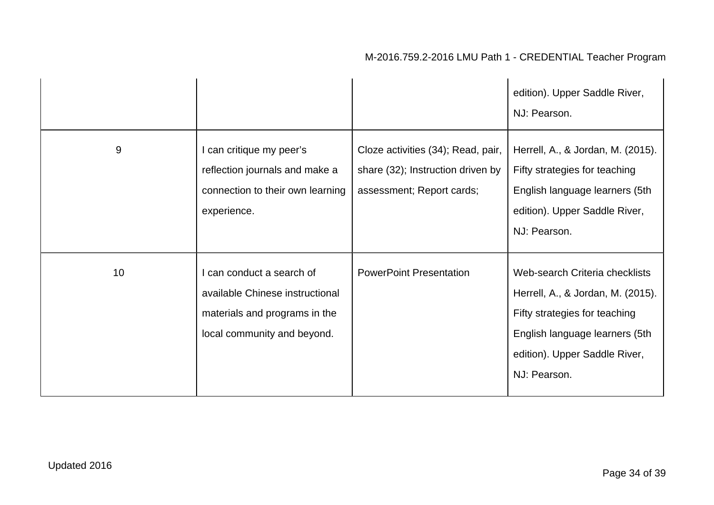|       |                                                                                                                              |                                                                                                      | edition). Upper Saddle River,<br>NJ: Pearson.                                                                                                                                           |
|-------|------------------------------------------------------------------------------------------------------------------------------|------------------------------------------------------------------------------------------------------|-----------------------------------------------------------------------------------------------------------------------------------------------------------------------------------------|
| $9\,$ | I can critique my peer's<br>reflection journals and make a<br>connection to their own learning<br>experience.                | Cloze activities (34); Read, pair,<br>share (32); Instruction driven by<br>assessment; Report cards; | Herrell, A., & Jordan, M. (2015).<br>Fifty strategies for teaching<br>English language learners (5th<br>edition). Upper Saddle River,<br>NJ: Pearson.                                   |
| 10    | I can conduct a search of<br>available Chinese instructional<br>materials and programs in the<br>local community and beyond. | <b>PowerPoint Presentation</b>                                                                       | Web-search Criteria checklists<br>Herrell, A., & Jordan, M. (2015).<br>Fifty strategies for teaching<br>English language learners (5th<br>edition). Upper Saddle River,<br>NJ: Pearson. |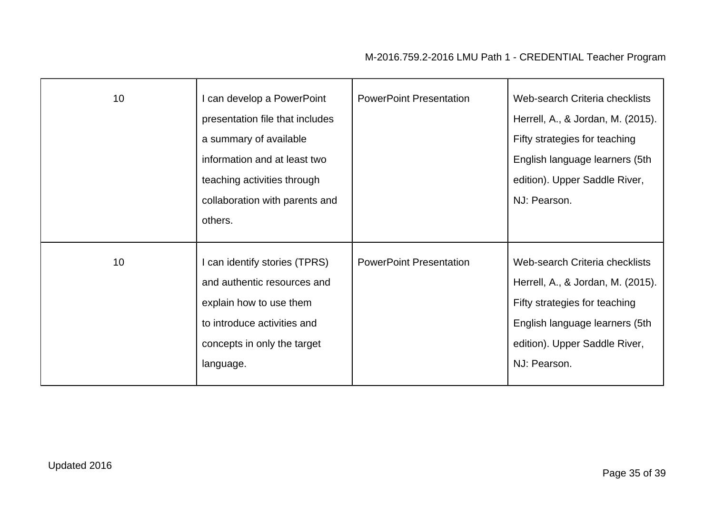| 10 <sup>1</sup> | I can develop a PowerPoint<br>presentation file that includes<br>a summary of available<br>information and at least two<br>teaching activities through<br>collaboration with parents and<br>others. | <b>PowerPoint Presentation</b> | Web-search Criteria checklists<br>Herrell, A., & Jordan, M. (2015).<br>Fifty strategies for teaching<br>English language learners (5th<br>edition). Upper Saddle River,<br>NJ: Pearson. |
|-----------------|-----------------------------------------------------------------------------------------------------------------------------------------------------------------------------------------------------|--------------------------------|-----------------------------------------------------------------------------------------------------------------------------------------------------------------------------------------|
| 10 <sup>1</sup> | I can identify stories (TPRS)<br>and authentic resources and<br>explain how to use them<br>to introduce activities and<br>concepts in only the target<br>language.                                  | <b>PowerPoint Presentation</b> | Web-search Criteria checklists<br>Herrell, A., & Jordan, M. (2015).<br>Fifty strategies for teaching<br>English language learners (5th<br>edition). Upper Saddle River,<br>NJ: Pearson. |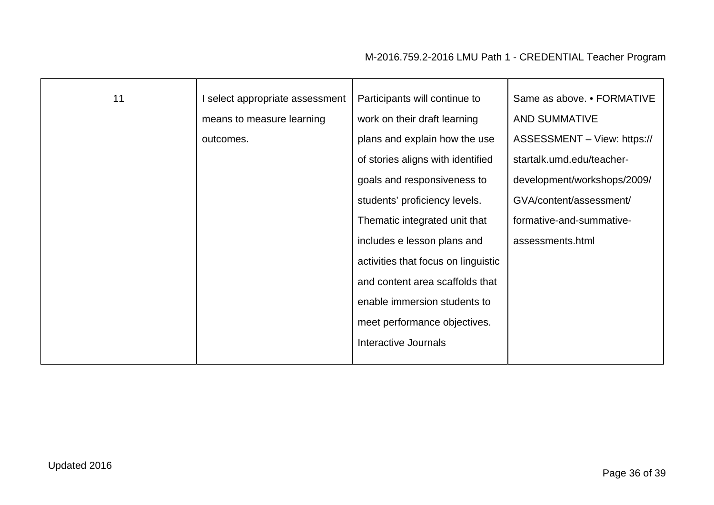| 11 | I select appropriate assessment<br>means to measure learning<br>outcomes. | Participants will continue to<br>work on their draft learning<br>plans and explain how the use<br>of stories aligns with identified<br>goals and responsiveness to<br>students' proficiency levels.<br>Thematic integrated unit that<br>includes e lesson plans and<br>activities that focus on linguistic<br>and content area scaffolds that<br>enable immersion students to<br>meet performance objectives.<br>Interactive Journals | Same as above. • FORMATIVE<br><b>AND SUMMATIVE</b><br>ASSESSMENT - View: https://<br>startalk.umd.edu/teacher-<br>development/workshops/2009/<br>GVA/content/assessment/<br>formative-and-summative-<br>assessments.html |
|----|---------------------------------------------------------------------------|---------------------------------------------------------------------------------------------------------------------------------------------------------------------------------------------------------------------------------------------------------------------------------------------------------------------------------------------------------------------------------------------------------------------------------------|--------------------------------------------------------------------------------------------------------------------------------------------------------------------------------------------------------------------------|
|    |                                                                           |                                                                                                                                                                                                                                                                                                                                                                                                                                       |                                                                                                                                                                                                                          |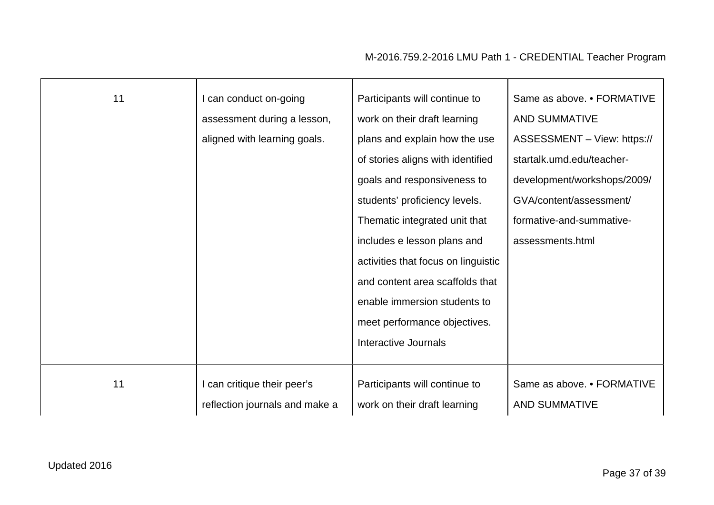| 11 | can conduct on-going           | Participants will continue to       | Same as above. • FORMATIVE  |
|----|--------------------------------|-------------------------------------|-----------------------------|
|    | assessment during a lesson,    | work on their draft learning        | <b>AND SUMMATIVE</b>        |
|    | aligned with learning goals.   | plans and explain how the use       | ASSESSMENT - View: https:// |
|    |                                | of stories aligns with identified   | startalk.umd.edu/teacher-   |
|    |                                | goals and responsiveness to         | development/workshops/2009/ |
|    |                                | students' proficiency levels.       | GVA/content/assessment/     |
|    |                                | Thematic integrated unit that       | formative-and-summative-    |
|    |                                | includes e lesson plans and         | assessments.html            |
|    |                                | activities that focus on linguistic |                             |
|    |                                | and content area scaffolds that     |                             |
|    |                                | enable immersion students to        |                             |
|    |                                | meet performance objectives.        |                             |
|    |                                | Interactive Journals                |                             |
|    |                                |                                     |                             |
| 11 | I can critique their peer's    | Participants will continue to       | Same as above. • FORMATIVE  |
|    | reflection journals and make a | work on their draft learning        | <b>AND SUMMATIVE</b>        |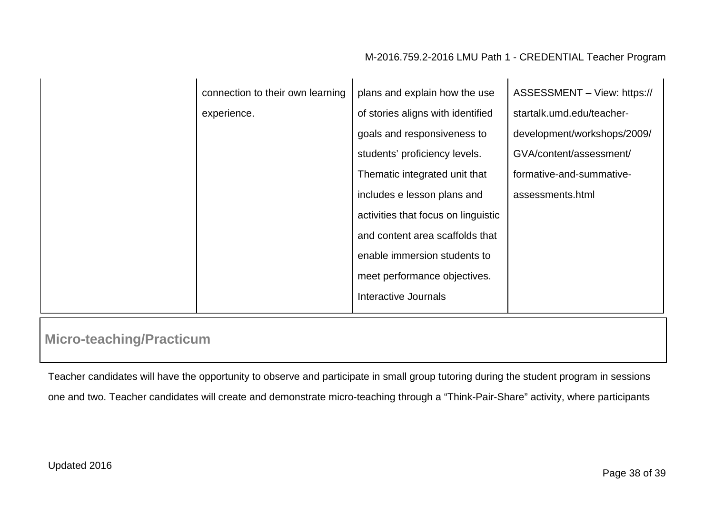| connection to their own learning | plans and explain how the use       | ASSESSMENT - View: https:// |
|----------------------------------|-------------------------------------|-----------------------------|
| experience.                      | of stories aligns with identified   | startalk.umd.edu/teacher-   |
|                                  | goals and responsiveness to         | development/workshops/2009/ |
|                                  | students' proficiency levels.       | GVA/content/assessment/     |
|                                  | Thematic integrated unit that       | formative-and-summative-    |
|                                  | includes e lesson plans and         | assessments.html            |
|                                  | activities that focus on linguistic |                             |
|                                  | and content area scaffolds that     |                             |
|                                  | enable immersion students to        |                             |
|                                  | meet performance objectives.        |                             |
|                                  | Interactive Journals                |                             |
|                                  |                                     |                             |

# **Micro-teaching/Practicum**

Teacher candidates will have the opportunity to observe and participate in small group tutoring during the student program in sessions one and two. Teacher candidates will create and demonstrate micro-teaching through a "Think-Pair-Share" activity, where participants